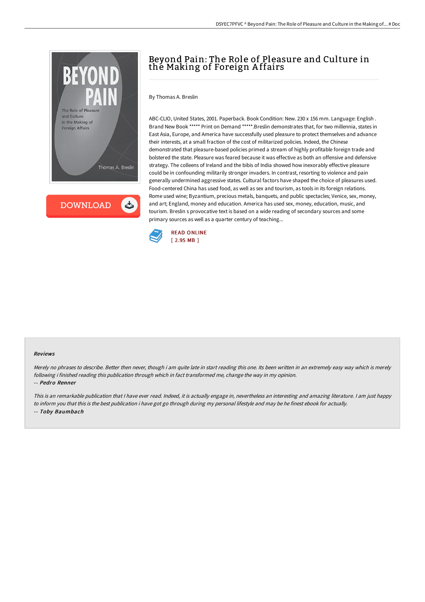

**DOWNLOAD** ٹ

# Beyond Pain: The Role of Pleasure and Culture in the Making of Foreign A ffairs

By Thomas A. Breslin

ABC-CLIO, United States, 2001. Paperback. Book Condition: New. 230 x 156 mm. Language: English . Brand New Book \*\*\*\*\* Print on Demand \*\*\*\*\*.Breslin demonstrates that, for two millennia, states in East Asia, Europe, and America have successfully used pleasure to protect themselves and advance their interests, at a small fraction of the cost of militarized policies. Indeed, the Chinese demonstrated that pleasure-based policies primed a stream of highly profitable foreign trade and bolstered the state. Pleasure was feared because it was effective as both an offensive and defensive strategy. The colleens of Ireland and the bibis of India showed how inexorably effective pleasure could be in confounding militarily stronger invaders. In contrast, resorting to violence and pain generally undermined aggressive states. Cultural factors have shaped the choice of pleasures used. Food-centered China has used food, as well as sex and tourism, as tools in its foreign relations. Rome used wine; Byzantium, precious metals, banquets, and public spectacles; Venice, sex, money, and art; England, money and education. America has used sex, money, education, music, and tourism. Breslin s provocative text is based on a wide reading of secondary sources and some primary sources as well as a quarter century of teaching...



#### Reviews

Merely no phrases to describe. Better then never, though i am quite late in start reading this one. Its been written in an extremely easy way which is merely following i finished reading this publication through which in fact transformed me, change the way in my opinion. -- Pedro Renner

This is an remarkable publication that I have ever read. Indeed, it is actually engage in, nevertheless an interesting and amazing literature. I am just happy to inform you that this is the best publication i have got go through during my personal lifestyle and may be he finest ebook for actually. -- Toby Baumbach